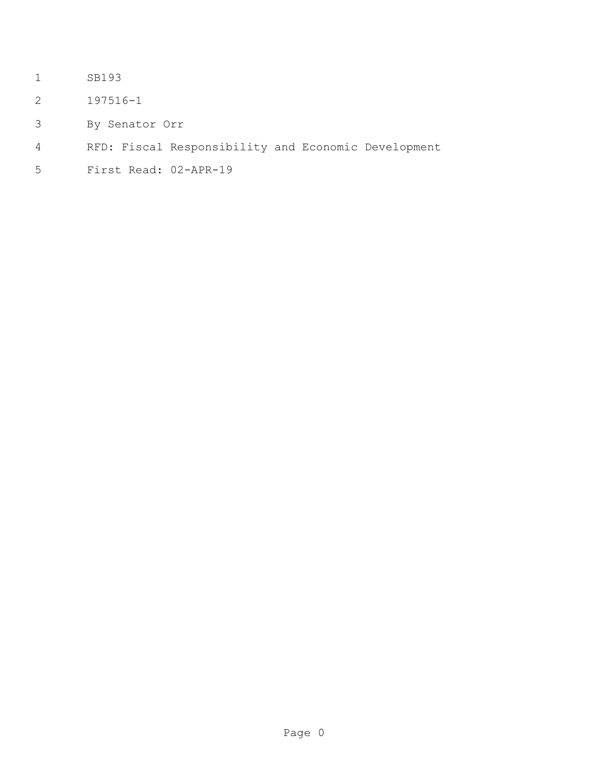- SB193
- 197516-1
- By Senator Orr
- RFD: Fiscal Responsibility and Economic Development
- First Read: 02-APR-19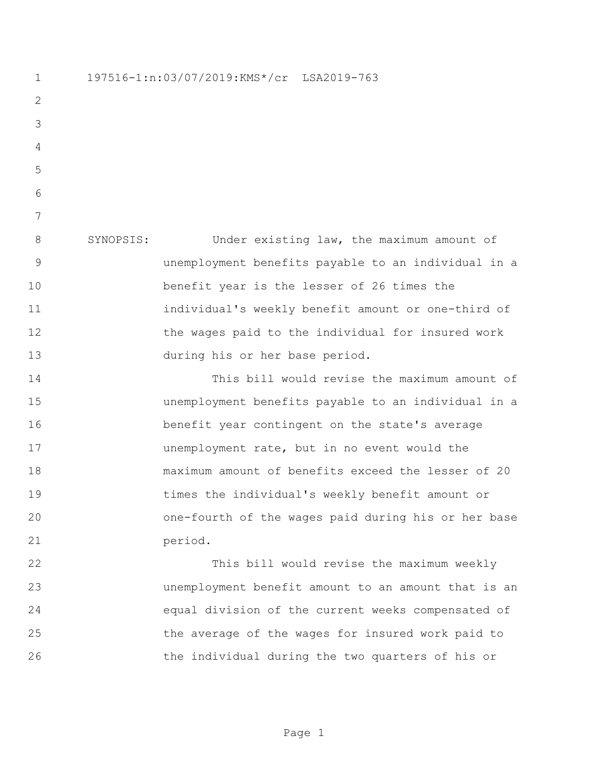197516-1:n:03/07/2019:KMS\*/cr LSA2019-763 SYNOPSIS: Under existing law, the maximum amount of unemployment benefits payable to an individual in a benefit year is the lesser of 26 times the individual's weekly benefit amount or one-third of 12 the wages paid to the individual for insured work during his or her base period. This bill would revise the maximum amount of unemployment benefits payable to an individual in a benefit year contingent on the state's average unemployment rate, but in no event would the maximum amount of benefits exceed the lesser of 20 times the individual's weekly benefit amount or one-fourth of the wages paid during his or her base 21 period. This bill would revise the maximum weekly unemployment benefit amount to an amount that is an equal division of the current weeks compensated of the average of the wages for insured work paid to

the individual during the two quarters of his or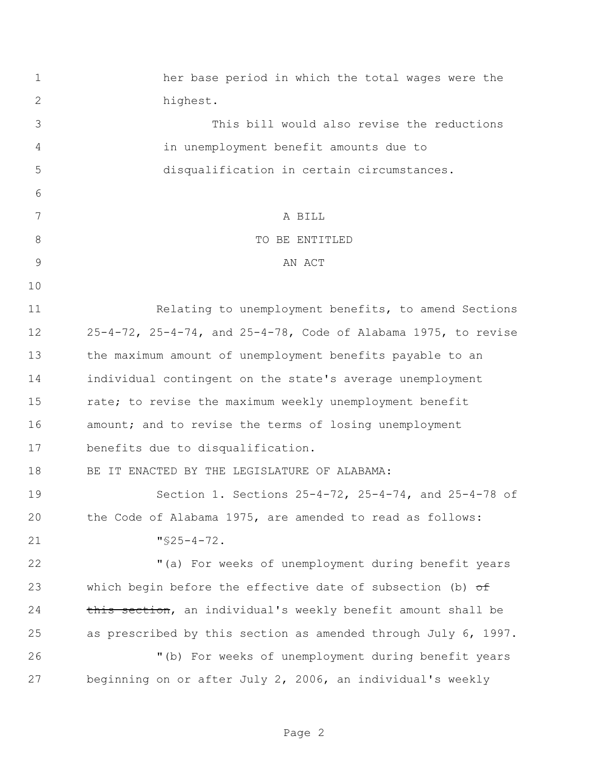her base period in which the total wages were the highest. This bill would also revise the reductions in unemployment benefit amounts due to disqualification in certain circumstances. A BILL 8 STRIP TO BE ENTITLED 9 AN ACT Relating to unemployment benefits, to amend Sections 25-4-72, 25-4-74, and 25-4-78, Code of Alabama 1975, to revise the maximum amount of unemployment benefits payable to an individual contingent on the state's average unemployment rate; to revise the maximum weekly unemployment benefit 16 amount; and to revise the terms of losing unemployment benefits due to disqualification. BE IT ENACTED BY THE LEGISLATURE OF ALABAMA: Section 1. Sections 25-4-72, 25-4-74, and 25-4-78 of the Code of Alabama 1975, are amended to read as follows: "§25-4-72. "(a) For weeks of unemployment during benefit years 23 which begin before the effective date of subsection (b) of 24 this section, an individual's weekly benefit amount shall be as prescribed by this section as amended through July 6, 1997. "(b) For weeks of unemployment during benefit years beginning on or after July 2, 2006, an individual's weekly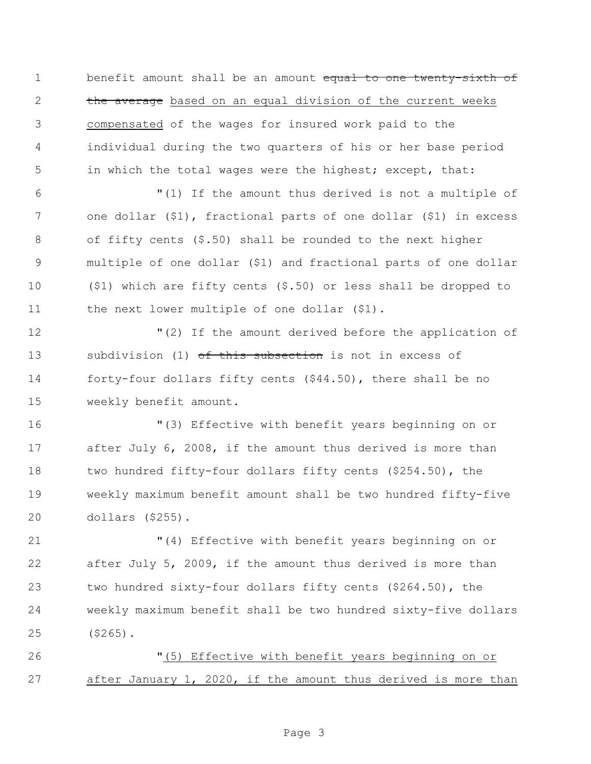1 benefit amount shall be an amount equal to one twenty-sixth of 2 the average based on an equal division of the current weeks compensated of the wages for insured work paid to the individual during the two quarters of his or her base period in which the total wages were the highest; except, that:

 "(1) If the amount thus derived is not a multiple of one dollar (\$1), fractional parts of one dollar (\$1) in excess of fifty cents (\$.50) shall be rounded to the next higher multiple of one dollar (\$1) and fractional parts of one dollar (\$1) which are fifty cents (\$.50) or less shall be dropped to 11 the next lower multiple of one dollar (\$1).

 "(2) If the amount derived before the application of 13 subdivision (1) of this subsection is not in excess of forty-four dollars fifty cents (\$44.50), there shall be no weekly benefit amount.

 "(3) Effective with benefit years beginning on or after July 6, 2008, if the amount thus derived is more than two hundred fifty-four dollars fifty cents (\$254.50), the weekly maximum benefit amount shall be two hundred fifty-five dollars (\$255).

 "(4) Effective with benefit years beginning on or after July 5, 2009, if the amount thus derived is more than two hundred sixty-four dollars fifty cents (\$264.50), the weekly maximum benefit shall be two hundred sixty-five dollars (\$265).

 "(5) Effective with benefit years beginning on or after January 1, 2020, if the amount thus derived is more than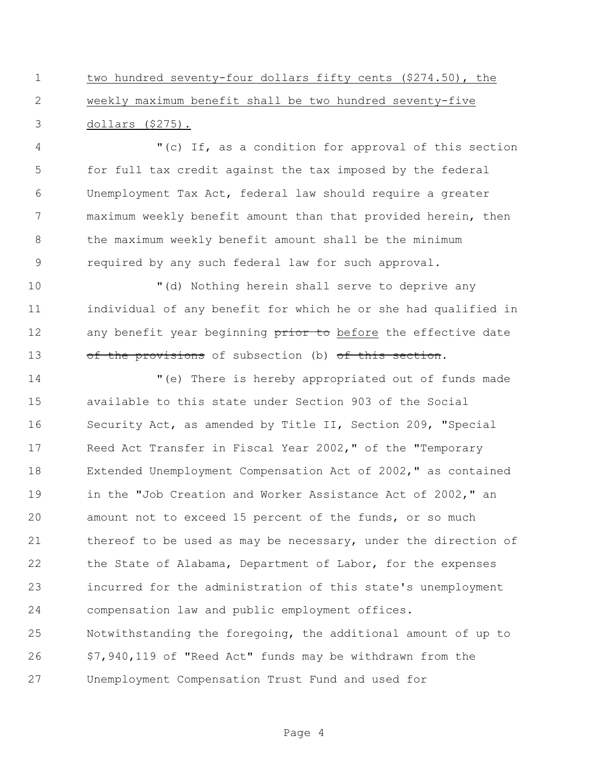two hundred seventy-four dollars fifty cents (\$274.50), the weekly maximum benefit shall be two hundred seventy-five dollars (\$275).

 "(c) If, as a condition for approval of this section for full tax credit against the tax imposed by the federal Unemployment Tax Act, federal law should require a greater maximum weekly benefit amount than that provided herein, then the maximum weekly benefit amount shall be the minimum required by any such federal law for such approval.

 "(d) Nothing herein shall serve to deprive any individual of any benefit for which he or she had qualified in 12 any benefit year beginning prior to before the effective date 13 of the provisions of subsection (b) of this section.

 "(e) There is hereby appropriated out of funds made available to this state under Section 903 of the Social Security Act, as amended by Title II, Section 209, "Special Reed Act Transfer in Fiscal Year 2002," of the "Temporary Extended Unemployment Compensation Act of 2002," as contained in the "Job Creation and Worker Assistance Act of 2002," an amount not to exceed 15 percent of the funds, or so much 21 thereof to be used as may be necessary, under the direction of the State of Alabama, Department of Labor, for the expenses incurred for the administration of this state's unemployment compensation law and public employment offices. Notwithstanding the foregoing, the additional amount of up to \$7,940,119 of "Reed Act" funds may be withdrawn from the Unemployment Compensation Trust Fund and used for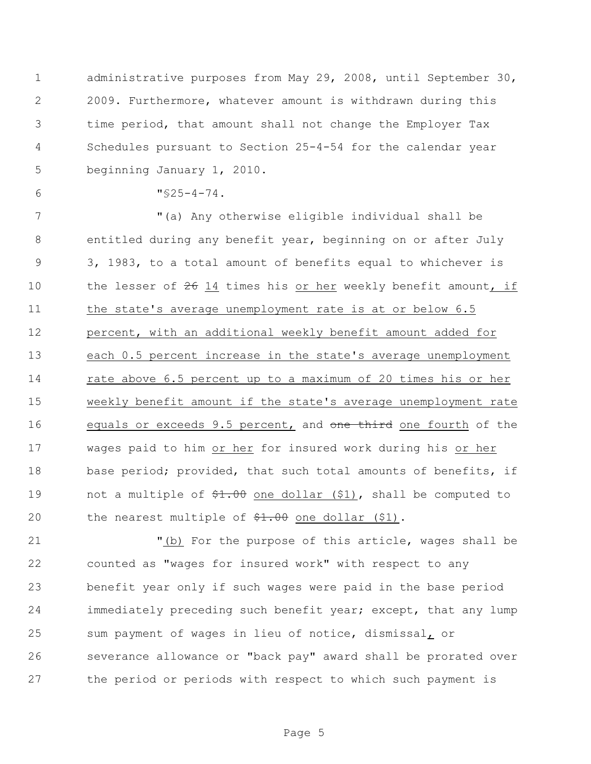administrative purposes from May 29, 2008, until September 30, 2009. Furthermore, whatever amount is withdrawn during this time period, that amount shall not change the Employer Tax Schedules pursuant to Section 25-4-54 for the calendar year beginning January 1, 2010.

6  $\sqrt{525-4-74}$ .

 "(a) Any otherwise eligible individual shall be entitled during any benefit year, beginning on or after July 3, 1983, to a total amount of benefits equal to whichever is 10 the lesser of 14 times his or her weekly benefit amount, if the state's average unemployment rate is at or below 6.5 percent, with an additional weekly benefit amount added for each 0.5 percent increase in the state's average unemployment rate above 6.5 percent up to a maximum of 20 times his or her weekly benefit amount if the state's average unemployment rate 16 equals or exceeds 9.5 percent, and one third one fourth of the wages paid to him or her for insured work during his or her 18 base period; provided, that such total amounts of benefits, if 19 not a multiple of  $\frac{100}{71.00}$  one dollar (\$1), shall be computed to 20 the nearest multiple of  $\frac{20}{71.00}$  one dollar (\$1).

 "(b) For the purpose of this article, wages shall be counted as "wages for insured work" with respect to any benefit year only if such wages were paid in the base period immediately preceding such benefit year; except, that any lump sum payment of wages in lieu of notice, dismissal, or severance allowance or "back pay" award shall be prorated over the period or periods with respect to which such payment is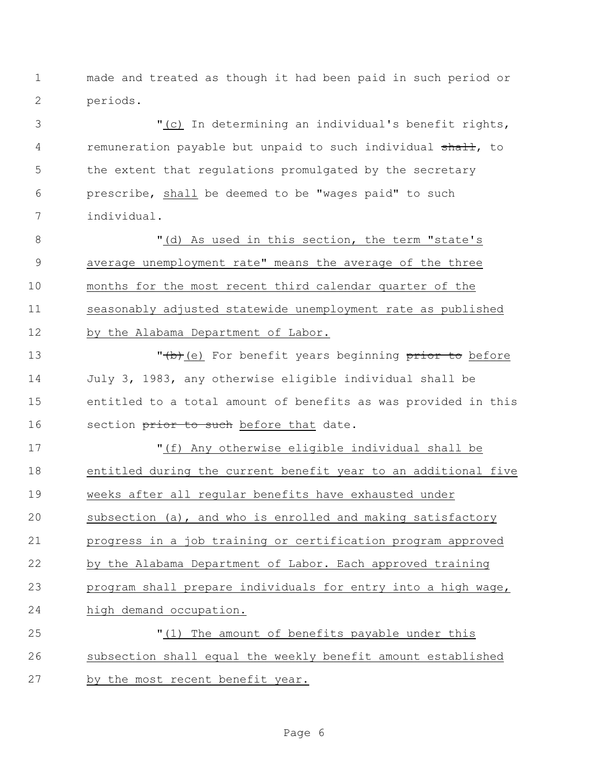made and treated as though it had been paid in such period or periods.

 "(c) In determining an individual's benefit rights, 4 remuneration payable but unpaid to such individual shall, to 5 the extent that regulations promulgated by the secretary prescribe, shall be deemed to be "wages paid" to such individual.

8 T(d) As used in this section, the term "state's average unemployment rate" means the average of the three months for the most recent third calendar quarter of the seasonably adjusted statewide unemployment rate as published by the Alabama Department of Labor.

13 The Median Character of the Porton Price is not in the USA of the USA of the USA of the USA of the USA of the USA of the USA of the USA of the USA of the USA of the USA of the USA of the USA of the USA of the USA of the July 3, 1983, any otherwise eligible individual shall be entitled to a total amount of benefits as was provided in this 16 section prior to such before that date.

 "(f) Any otherwise eligible individual shall be entitled during the current benefit year to an additional five weeks after all regular benefits have exhausted under subsection (a), and who is enrolled and making satisfactory progress in a job training or certification program approved by the Alabama Department of Labor. Each approved training program shall prepare individuals for entry into a high wage, high demand occupation.

 "(1) The amount of benefits payable under this subsection shall equal the weekly benefit amount established by the most recent benefit year.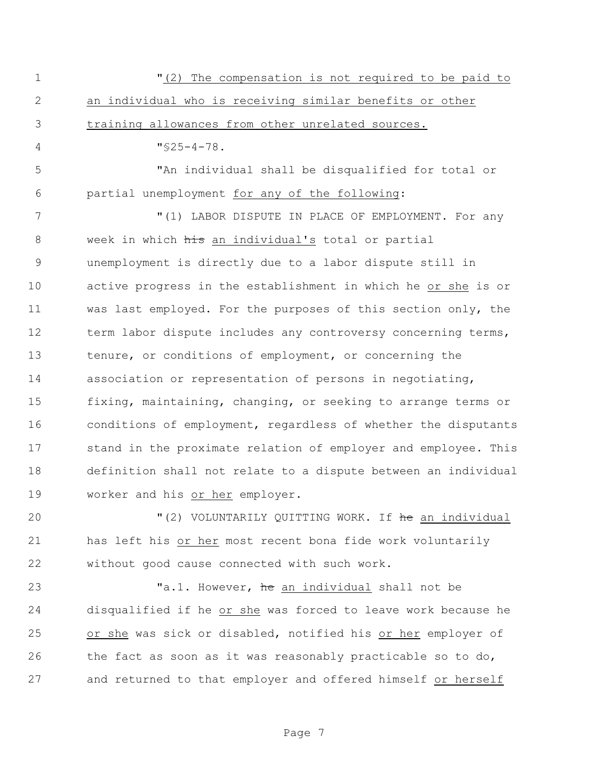"(2) The compensation is not required to be paid to an individual who is receiving similar benefits or other training allowances from other unrelated sources.  $4 \frac{\text{V}}{\text{S}} 25 - 4 - 78$ . "An individual shall be disqualified for total or partial unemployment for any of the following: 7 TELL THE MULL TO MAKE A STATE OF STATE OF THE STATE OF STATE OF SALUTE TO MAKE OF STATE AND THE STATE OF STATE OF STATE OF STATE OF STATE OF STATE OF STATE OF STATE OF STATE OF STATE OF STATE OF STATE OF STATE OF STATE O 8 week in which his an individual's total or partial unemployment is directly due to a labor dispute still in active progress in the establishment in which he or she is or was last employed. For the purposes of this section only, the 12 term labor dispute includes any controversy concerning terms, tenure, or conditions of employment, or concerning the association or representation of persons in negotiating, fixing, maintaining, changing, or seeking to arrange terms or conditions of employment, regardless of whether the disputants stand in the proximate relation of employer and employee. This definition shall not relate to a dispute between an individual worker and his or her employer.

20 "(2) VOLUNTARILY QUITTING WORK. If the an individual has left his or her most recent bona fide work voluntarily without good cause connected with such work.

23 Ta.1. However, he an individual shall not be disqualified if he or she was forced to leave work because he or she was sick or disabled, notified his or her employer of the fact as soon as it was reasonably practicable so to do, and returned to that employer and offered himself or herself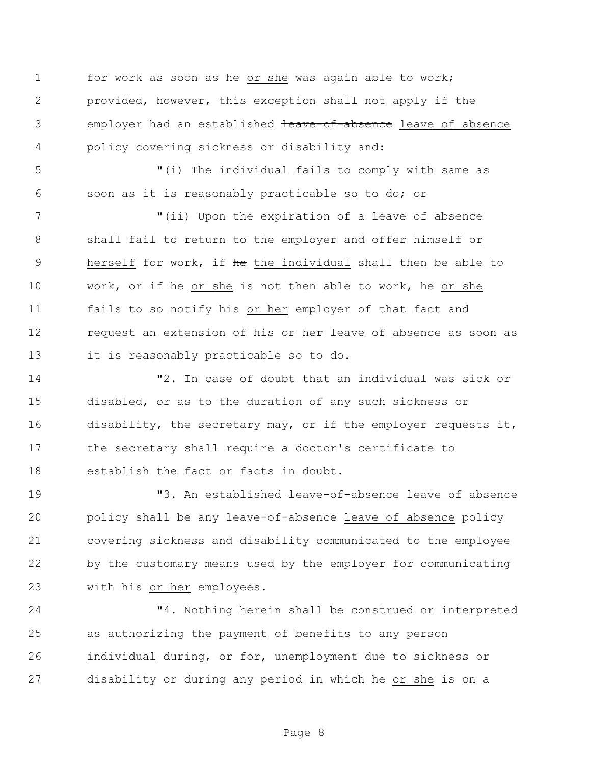for work as soon as he or she was again able to work; provided, however, this exception shall not apply if the 3 employer had an established teave-of-absence leave of absence policy covering sickness or disability and:

 "(i) The individual fails to comply with same as soon as it is reasonably practicable so to do; or

7 The U via Upon the expiration of a leave of absence shall fail to return to the employer and offer himself or 9 herself for work, if he the individual shall then be able to work, or if he or she is not then able to work, he or she fails to so notify his or her employer of that fact and request an extension of his or her leave of absence as soon as it is reasonably practicable so to do.

 "2. In case of doubt that an individual was sick or disabled, or as to the duration of any such sickness or disability, the secretary may, or if the employer requests it, the secretary shall require a doctor's certificate to establish the fact or facts in doubt.

19 T3. An established the state-of-absence leave of absence 20 policy shall be any teave-of-absence leave of absence policy covering sickness and disability communicated to the employee by the customary means used by the employer for communicating with his or her employees.

 "4. Nothing herein shall be construed or interpreted 25 as authorizing the payment of benefits to any person individual during, or for, unemployment due to sickness or disability or during any period in which he or she is on a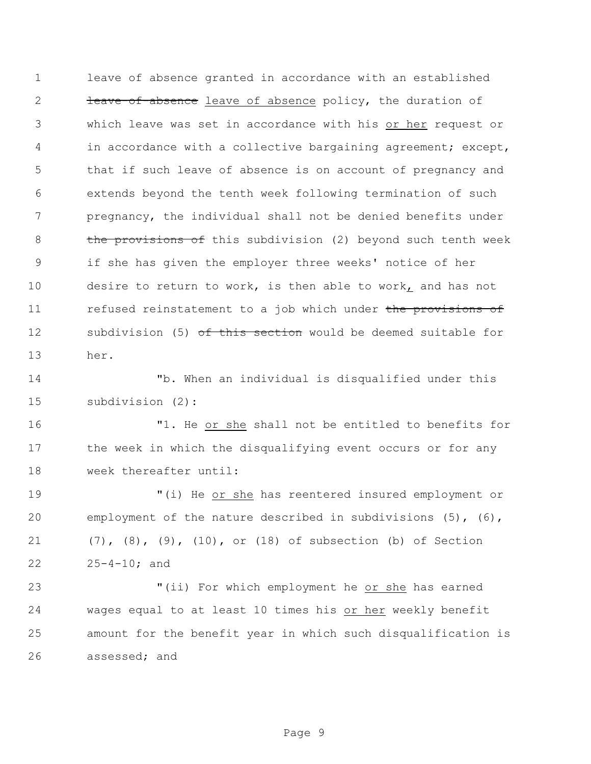leave of absence granted in accordance with an established 2 <del>leave-of-absence</del> leave of absence policy, the duration of which leave was set in accordance with his or her request or 4 in accordance with a collective bargaining agreement; except, that if such leave of absence is on account of pregnancy and extends beyond the tenth week following termination of such pregnancy, the individual shall not be denied benefits under 8 the provisions of this subdivision (2) beyond such tenth week if she has given the employer three weeks' notice of her desire to return to work, is then able to work, and has not 11 refused reinstatement to a job which under the provisions of 12 subdivision (5) of this section would be deemed suitable for her.

 "b. When an individual is disqualified under this subdivision (2):

 "1. He or she shall not be entitled to benefits for the week in which the disqualifying event occurs or for any week thereafter until:

 "(i) He or she has reentered insured employment or employment of the nature described in subdivisions (5), (6), (7), (8), (9), (10), or (18) of subsection (b) of Section 25-4-10; and

 "(ii) For which employment he or she has earned wages equal to at least 10 times his or her weekly benefit amount for the benefit year in which such disqualification is assessed; and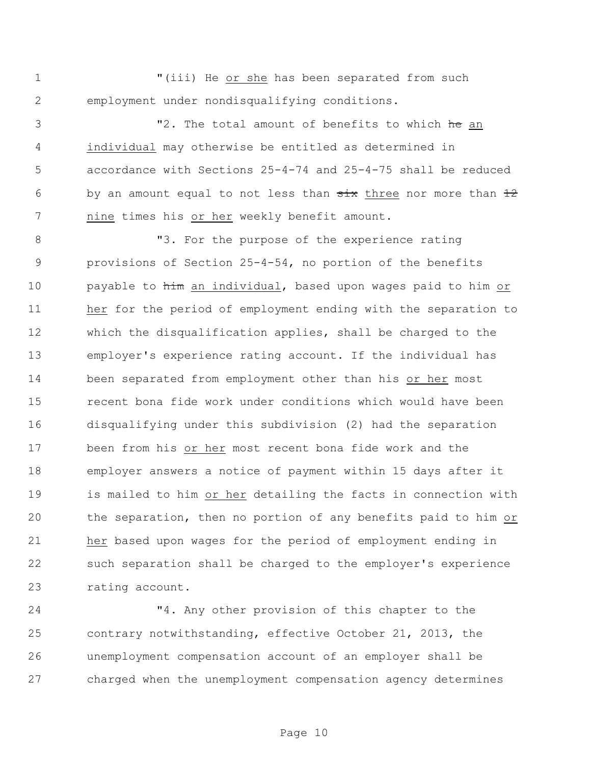"(iii) He or she has been separated from such employment under nondisqualifying conditions.

3 The total amount of benefits to which he an individual may otherwise be entitled as determined in accordance with Sections 25-4-74 and 25-4-75 shall be reduced 6 by an amount equal to not less than  $\frac{1}{x}$  three nor more than  $\frac{12}{x}$ nine times his or her weekly benefit amount.

**"3.** For the purpose of the experience rating provisions of Section 25-4-54, no portion of the benefits payable to him an individual, based upon wages paid to him or her for the period of employment ending with the separation to which the disqualification applies, shall be charged to the employer's experience rating account. If the individual has been separated from employment other than his or her most recent bona fide work under conditions which would have been disqualifying under this subdivision (2) had the separation been from his or her most recent bona fide work and the employer answers a notice of payment within 15 days after it is mailed to him or her detailing the facts in connection with the separation, then no portion of any benefits paid to him or her based upon wages for the period of employment ending in such separation shall be charged to the employer's experience rating account.

 "4. Any other provision of this chapter to the contrary notwithstanding, effective October 21, 2013, the unemployment compensation account of an employer shall be charged when the unemployment compensation agency determines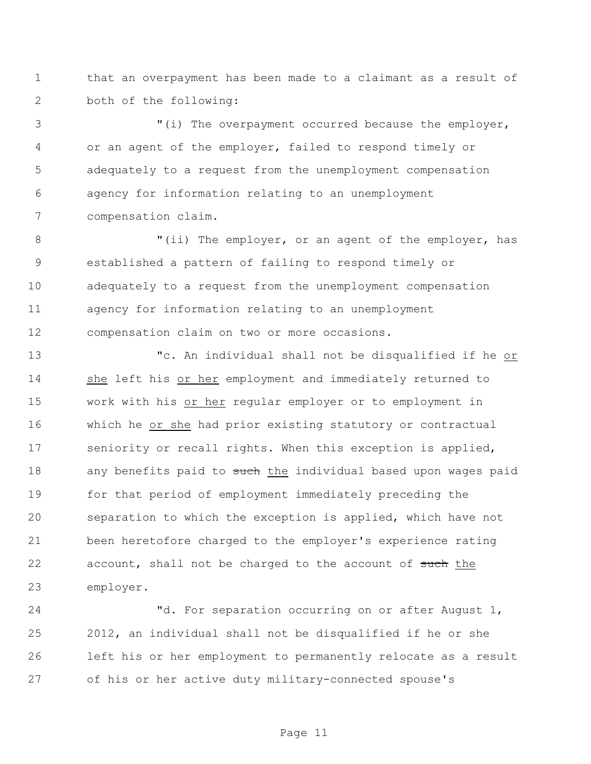that an overpayment has been made to a claimant as a result of both of the following:

 "(i) The overpayment occurred because the employer, or an agent of the employer, failed to respond timely or adequately to a request from the unemployment compensation agency for information relating to an unemployment compensation claim.

8 "(ii) The employer, or an agent of the employer, has established a pattern of failing to respond timely or adequately to a request from the unemployment compensation agency for information relating to an unemployment compensation claim on two or more occasions.

 "c. An individual shall not be disqualified if he or she left his or her employment and immediately returned to work with his or her regular employer or to employment in which he or she had prior existing statutory or contractual 17 seniority or recall rights. When this exception is applied, 18 any benefits paid to such the individual based upon wages paid for that period of employment immediately preceding the separation to which the exception is applied, which have not been heretofore charged to the employer's experience rating 22 account, shall not be charged to the account of such the employer.

24 "d. For separation occurring on or after August 1, 2012, an individual shall not be disqualified if he or she left his or her employment to permanently relocate as a result of his or her active duty military-connected spouse's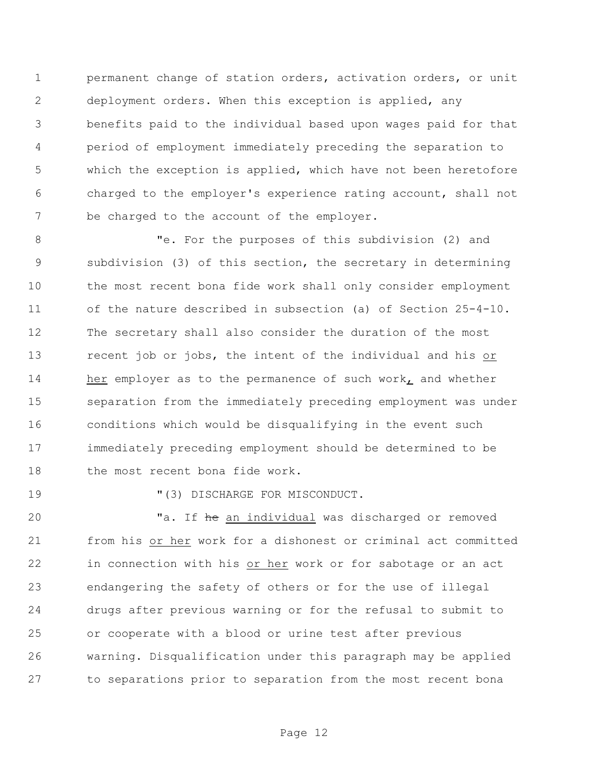permanent change of station orders, activation orders, or unit deployment orders. When this exception is applied, any benefits paid to the individual based upon wages paid for that period of employment immediately preceding the separation to which the exception is applied, which have not been heretofore charged to the employer's experience rating account, shall not 7 be charged to the account of the employer.

 "e. For the purposes of this subdivision (2) and subdivision (3) of this section, the secretary in determining the most recent bona fide work shall only consider employment of the nature described in subsection (a) of Section 25-4-10. The secretary shall also consider the duration of the most recent job or jobs, the intent of the individual and his or 14 her employer as to the permanence of such work, and whether separation from the immediately preceding employment was under conditions which would be disqualifying in the event such immediately preceding employment should be determined to be 18 the most recent bona fide work.

19  $(3)$  DISCHARGE FOR MISCONDUCT.

20 Ta. If the an individual was discharged or removed from his or her work for a dishonest or criminal act committed in connection with his or her work or for sabotage or an act endangering the safety of others or for the use of illegal drugs after previous warning or for the refusal to submit to or cooperate with a blood or urine test after previous warning. Disqualification under this paragraph may be applied to separations prior to separation from the most recent bona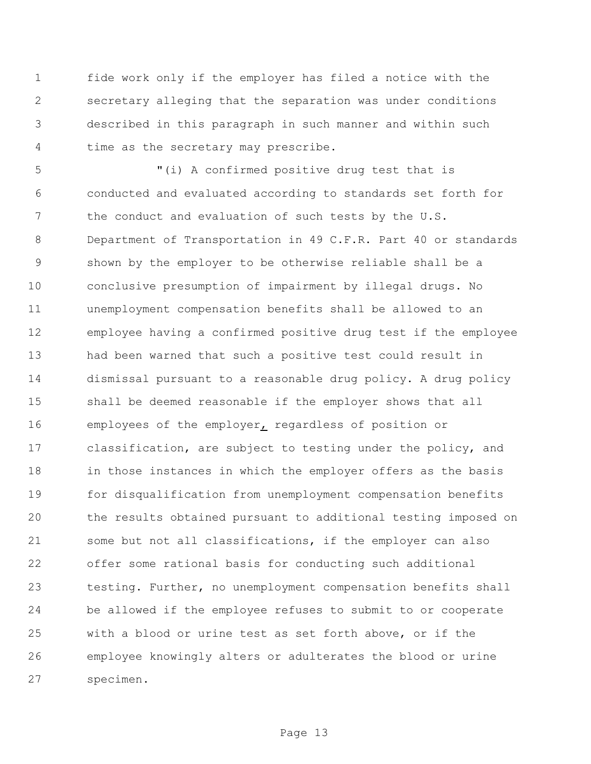fide work only if the employer has filed a notice with the secretary alleging that the separation was under conditions described in this paragraph in such manner and within such time as the secretary may prescribe.

 "(i) A confirmed positive drug test that is conducted and evaluated according to standards set forth for 7 the conduct and evaluation of such tests by the U.S. Department of Transportation in 49 C.F.R. Part 40 or standards shown by the employer to be otherwise reliable shall be a conclusive presumption of impairment by illegal drugs. No unemployment compensation benefits shall be allowed to an employee having a confirmed positive drug test if the employee had been warned that such a positive test could result in dismissal pursuant to a reasonable drug policy. A drug policy shall be deemed reasonable if the employer shows that all employees of the employer, regardless of position or classification, are subject to testing under the policy, and in those instances in which the employer offers as the basis for disqualification from unemployment compensation benefits the results obtained pursuant to additional testing imposed on some but not all classifications, if the employer can also offer some rational basis for conducting such additional testing. Further, no unemployment compensation benefits shall be allowed if the employee refuses to submit to or cooperate with a blood or urine test as set forth above, or if the employee knowingly alters or adulterates the blood or urine specimen.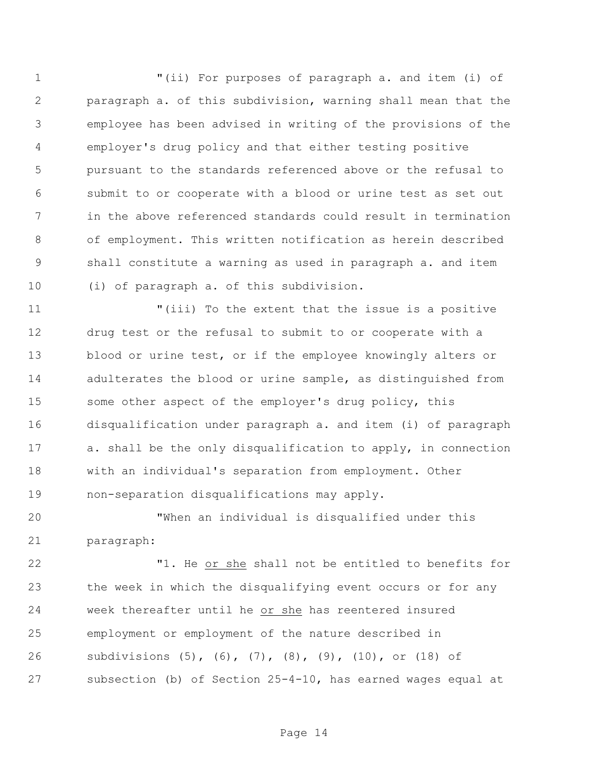"(ii) For purposes of paragraph a. and item (i) of paragraph a. of this subdivision, warning shall mean that the employee has been advised in writing of the provisions of the employer's drug policy and that either testing positive pursuant to the standards referenced above or the refusal to submit to or cooperate with a blood or urine test as set out in the above referenced standards could result in termination of employment. This written notification as herein described shall constitute a warning as used in paragraph a. and item (i) of paragraph a. of this subdivision.

 "(iii) To the extent that the issue is a positive drug test or the refusal to submit to or cooperate with a 13 blood or urine test, or if the employee knowingly alters or adulterates the blood or urine sample, as distinguished from 15 some other aspect of the employer's drug policy, this disqualification under paragraph a. and item (i) of paragraph a. shall be the only disqualification to apply, in connection with an individual's separation from employment. Other non-separation disqualifications may apply.

 "When an individual is disqualified under this paragraph:

 "1. He or she shall not be entitled to benefits for the week in which the disqualifying event occurs or for any week thereafter until he or she has reentered insured employment or employment of the nature described in subdivisions (5), (6), (7), (8), (9), (10), or (18) of subsection (b) of Section 25-4-10, has earned wages equal at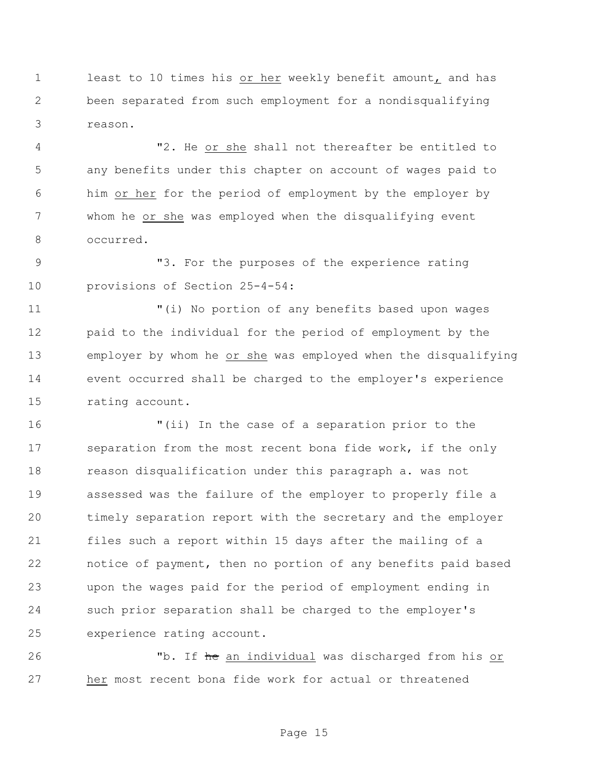least to 10 times his or her weekly benefit amount, and has been separated from such employment for a nondisqualifying reason.

 "2. He or she shall not thereafter be entitled to any benefits under this chapter on account of wages paid to him or her for the period of employment by the employer by whom he or she was employed when the disqualifying event occurred.

 "3. For the purposes of the experience rating provisions of Section 25-4-54:

 "(i) No portion of any benefits based upon wages paid to the individual for the period of employment by the employer by whom he or she was employed when the disqualifying event occurred shall be charged to the employer's experience rating account.

 "(ii) In the case of a separation prior to the 17 separation from the most recent bona fide work, if the only reason disqualification under this paragraph a. was not assessed was the failure of the employer to properly file a timely separation report with the secretary and the employer files such a report within 15 days after the mailing of a notice of payment, then no portion of any benefits paid based upon the wages paid for the period of employment ending in such prior separation shall be charged to the employer's experience rating account.

26 The an individual was discharged from his or her most recent bona fide work for actual or threatened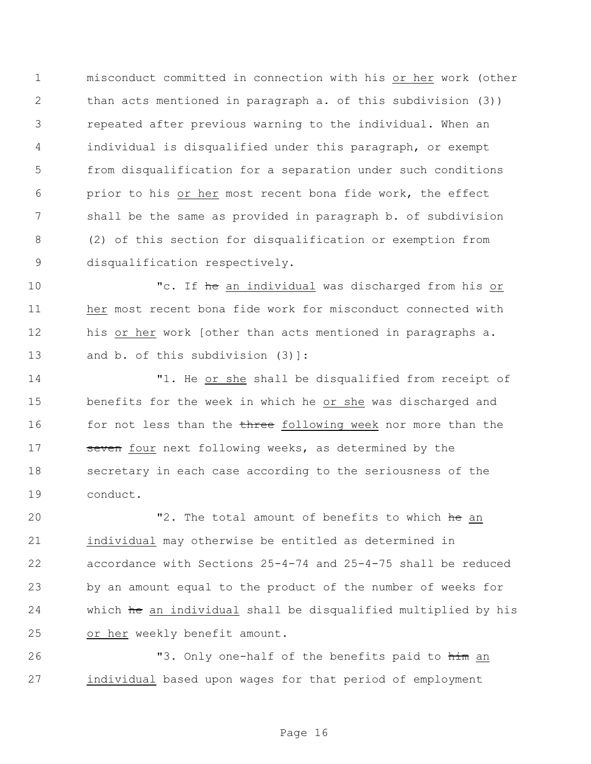misconduct committed in connection with his or her work (other than acts mentioned in paragraph a. of this subdivision (3)) repeated after previous warning to the individual. When an individual is disqualified under this paragraph, or exempt from disqualification for a separation under such conditions prior to his or her most recent bona fide work, the effect shall be the same as provided in paragraph b. of subdivision (2) of this section for disqualification or exemption from disqualification respectively.

10 The an individual was discharged from his or her most recent bona fide work for misconduct connected with his or her work [other than acts mentioned in paragraphs a. 13 and b. of this subdivision (3)]:

 "1. He or she shall be disqualified from receipt of benefits for the week in which he or she was discharged and 16 for not less than the three following week nor more than the 17 seven four next following weeks, as determined by the secretary in each case according to the seriousness of the conduct.

20 The total amount of benefits to which he an individual may otherwise be entitled as determined in accordance with Sections 25-4-74 and 25-4-75 shall be reduced by an amount equal to the product of the number of weeks for which he an individual shall be disqualified multiplied by his or her weekly benefit amount.

**12.3.33 12.33** "3. Only one-half of the benefits paid to him an individual based upon wages for that period of employment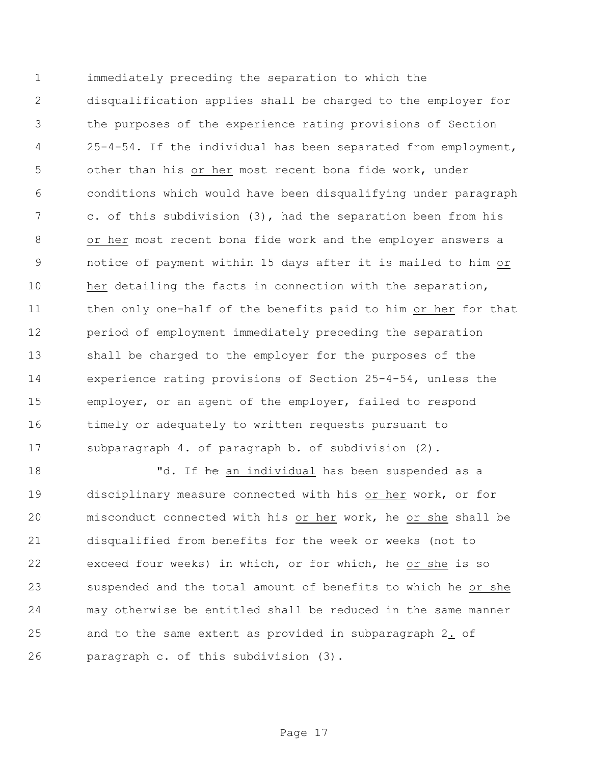immediately preceding the separation to which the disqualification applies shall be charged to the employer for the purposes of the experience rating provisions of Section 25-4-54. If the individual has been separated from employment, other than his or her most recent bona fide work, under conditions which would have been disqualifying under paragraph c. of this subdivision (3), had the separation been from his or her most recent bona fide work and the employer answers a notice of payment within 15 days after it is mailed to him or her detailing the facts in connection with the separation, then only one-half of the benefits paid to him or her for that period of employment immediately preceding the separation shall be charged to the employer for the purposes of the experience rating provisions of Section 25-4-54, unless the employer, or an agent of the employer, failed to respond timely or adequately to written requests pursuant to subparagraph 4. of paragraph b. of subdivision (2).

18 The an individual has been suspended as a disciplinary measure connected with his or her work, or for misconduct connected with his or her work, he or she shall be disqualified from benefits for the week or weeks (not to exceed four weeks) in which, or for which, he or she is so suspended and the total amount of benefits to which he or she may otherwise be entitled shall be reduced in the same manner and to the same extent as provided in subparagraph 2. of paragraph c. of this subdivision (3).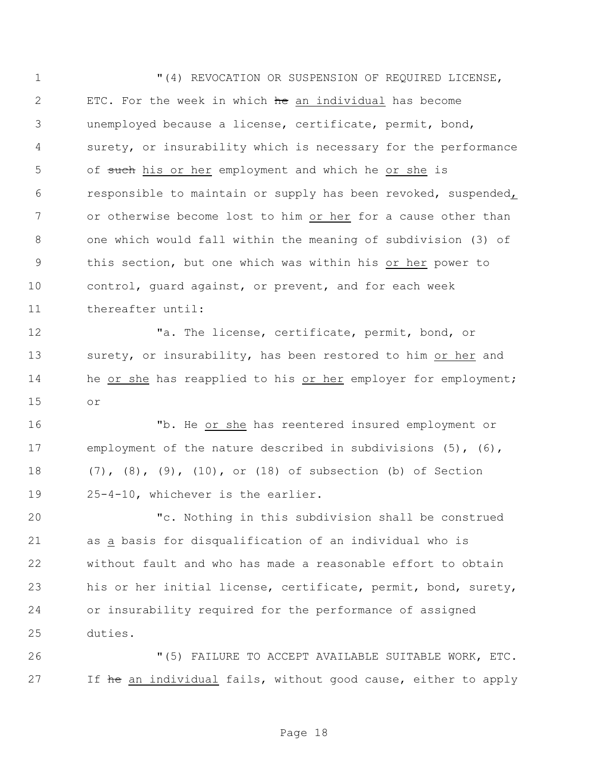"(4) REVOCATION OR SUSPENSION OF REQUIRED LICENSE, 2 ETC. For the week in which he an individual has become unemployed because a license, certificate, permit, bond, surety, or insurability which is necessary for the performance 5 of such his or her employment and which he or she is responsible to maintain or supply has been revoked, suspended, or otherwise become lost to him or her for a cause other than one which would fall within the meaning of subdivision (3) of this section, but one which was within his or her power to control, guard against, or prevent, and for each week thereafter until:

 "a. The license, certificate, permit, bond, or 13 surety, or insurability, has been restored to him or her and 14 he or she has reapplied to his or her employer for employment; or

 "b. He or she has reentered insured employment or employment of the nature described in subdivisions (5), (6), (7), (8), (9), (10), or (18) of subsection (b) of Section 25-4-10, whichever is the earlier.

 "c. Nothing in this subdivision shall be construed as a basis for disqualification of an individual who is without fault and who has made a reasonable effort to obtain his or her initial license, certificate, permit, bond, surety, or insurability required for the performance of assigned duties.

 "(5) FAILURE TO ACCEPT AVAILABLE SUITABLE WORK, ETC. 27 If he an individual fails, without good cause, either to apply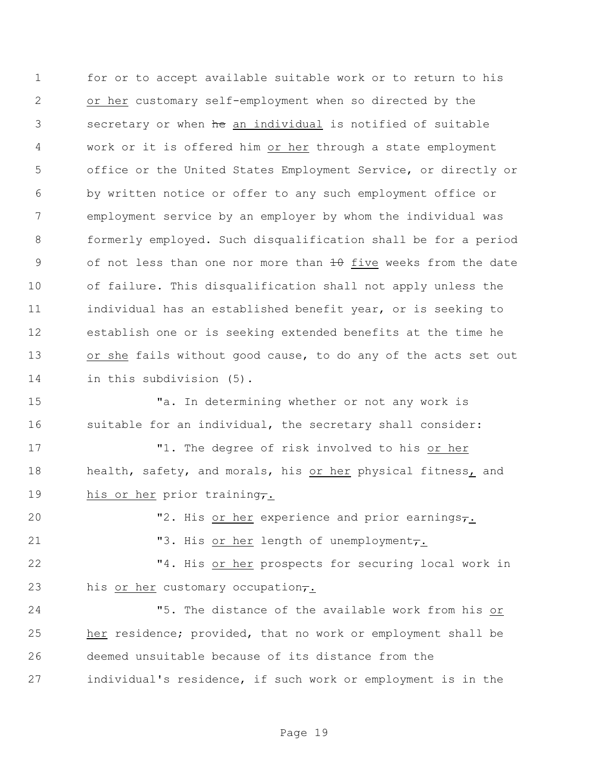for or to accept available suitable work or to return to his or her customary self-employment when so directed by the 3 secretary or when he an individual is notified of suitable work or it is offered him or her through a state employment office or the United States Employment Service, or directly or by written notice or offer to any such employment office or employment service by an employer by whom the individual was formerly employed. Such disqualification shall be for a period 9 of not less than one nor more than  $\theta$  five weeks from the date of failure. This disqualification shall not apply unless the individual has an established benefit year, or is seeking to establish one or is seeking extended benefits at the time he or she fails without good cause, to do any of the acts set out in this subdivision (5).

 "a. In determining whether or not any work is suitable for an individual, the secretary shall consider:

 "1. The degree of risk involved to his or her 18 health, safety, and morals, his or her physical fitness, and 19 his or her prior training,

20 T2. His or her experience and prior earnings,

21 "3. His or her length of unemployment,

 "4. His or her prospects for securing local work in 23 his or her customary occupation $\tau$ .

 "5. The distance of the available work from his or her residence; provided, that no work or employment shall be deemed unsuitable because of its distance from the individual's residence, if such work or employment is in the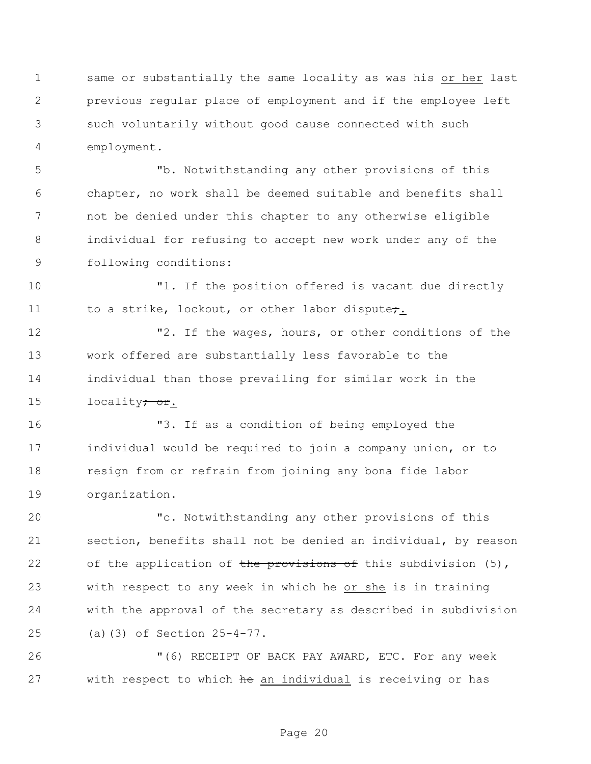same or substantially the same locality as was his or her last previous regular place of employment and if the employee left such voluntarily without good cause connected with such employment.

 "b. Notwithstanding any other provisions of this chapter, no work shall be deemed suitable and benefits shall not be denied under this chapter to any otherwise eligible individual for refusing to accept new work under any of the following conditions:

 "1. If the position offered is vacant due directly 11 to a strike, lockout, or other labor dispute;

 "2. If the wages, hours, or other conditions of the work offered are substantially less favorable to the individual than those prevailing for similar work in the 15 locality<del>; or</del>.

 "3. If as a condition of being employed the individual would be required to join a company union, or to resign from or refrain from joining any bona fide labor organization.

 "c. Notwithstanding any other provisions of this section, benefits shall not be denied an individual, by reason 22 of the application of the provisions of this subdivision (5), with respect to any week in which he or she is in training with the approval of the secretary as described in subdivision (a)(3) of Section 25-4-77.

 "(6) RECEIPT OF BACK PAY AWARD, ETC. For any week 27 with respect to which he an individual is receiving or has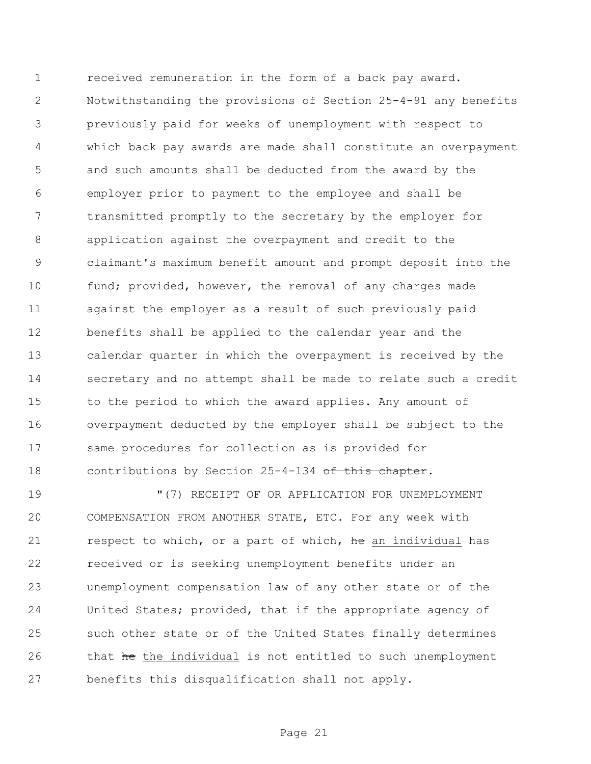received remuneration in the form of a back pay award. Notwithstanding the provisions of Section 25-4-91 any benefits previously paid for weeks of unemployment with respect to which back pay awards are made shall constitute an overpayment and such amounts shall be deducted from the award by the employer prior to payment to the employee and shall be transmitted promptly to the secretary by the employer for application against the overpayment and credit to the claimant's maximum benefit amount and prompt deposit into the 10 fund; provided, however, the removal of any charges made against the employer as a result of such previously paid benefits shall be applied to the calendar year and the calendar quarter in which the overpayment is received by the secretary and no attempt shall be made to relate such a credit to the period to which the award applies. Any amount of overpayment deducted by the employer shall be subject to the same procedures for collection as is provided for 18 contributions by Section 25-4-134 of this chapter.

 "(7) RECEIPT OF OR APPLICATION FOR UNEMPLOYMENT COMPENSATION FROM ANOTHER STATE, ETC. For any week with 21 respect to which, or a part of which, he an individual has received or is seeking unemployment benefits under an unemployment compensation law of any other state or of the United States; provided, that if the appropriate agency of such other state or of the United States finally determines 26 that he the individual is not entitled to such unemployment benefits this disqualification shall not apply.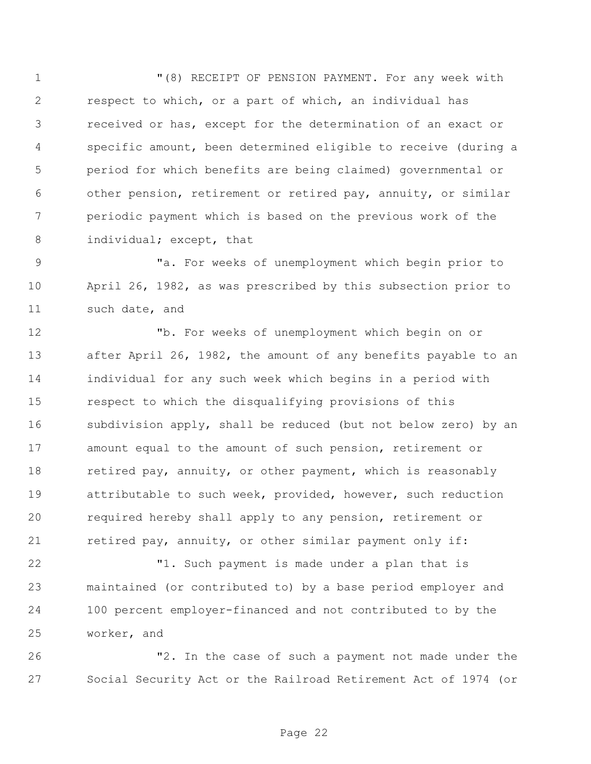"(8) RECEIPT OF PENSION PAYMENT. For any week with respect to which, or a part of which, an individual has received or has, except for the determination of an exact or specific amount, been determined eligible to receive (during a period for which benefits are being claimed) governmental or other pension, retirement or retired pay, annuity, or similar periodic payment which is based on the previous work of the 8 individual; except, that

 "a. For weeks of unemployment which begin prior to April 26, 1982, as was prescribed by this subsection prior to such date, and

 "b. For weeks of unemployment which begin on or after April 26, 1982, the amount of any benefits payable to an individual for any such week which begins in a period with respect to which the disqualifying provisions of this subdivision apply, shall be reduced (but not below zero) by an amount equal to the amount of such pension, retirement or 18 retired pay, annuity, or other payment, which is reasonably attributable to such week, provided, however, such reduction required hereby shall apply to any pension, retirement or 21 retired pay, annuity, or other similar payment only if:

 "1. Such payment is made under a plan that is maintained (or contributed to) by a base period employer and 100 percent employer-financed and not contributed to by the worker, and

 "2. In the case of such a payment not made under the Social Security Act or the Railroad Retirement Act of 1974 (or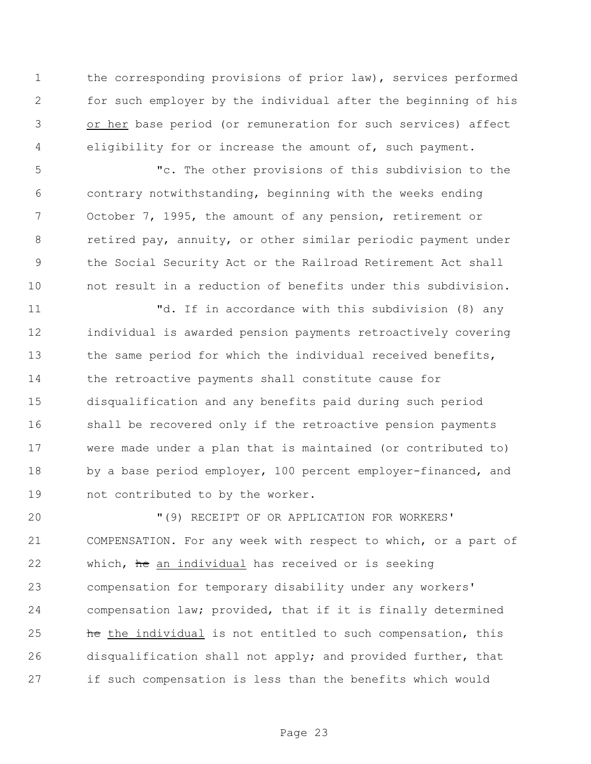the corresponding provisions of prior law), services performed for such employer by the individual after the beginning of his or her base period (or remuneration for such services) affect eligibility for or increase the amount of, such payment.

 "c. The other provisions of this subdivision to the contrary notwithstanding, beginning with the weeks ending October 7, 1995, the amount of any pension, retirement or retired pay, annuity, or other similar periodic payment under the Social Security Act or the Railroad Retirement Act shall not result in a reduction of benefits under this subdivision.

 "d. If in accordance with this subdivision (8) any individual is awarded pension payments retroactively covering 13 the same period for which the individual received benefits, the retroactive payments shall constitute cause for disqualification and any benefits paid during such period shall be recovered only if the retroactive pension payments were made under a plan that is maintained (or contributed to) 18 by a base period employer, 100 percent employer-financed, and not contributed to by the worker.

 "(9) RECEIPT OF OR APPLICATION FOR WORKERS' COMPENSATION. For any week with respect to which, or a part of 22 which, he an individual has received or is seeking compensation for temporary disability under any workers' compensation law; provided, that if it is finally determined **he** the individual is not entitled to such compensation, this disqualification shall not apply; and provided further, that if such compensation is less than the benefits which would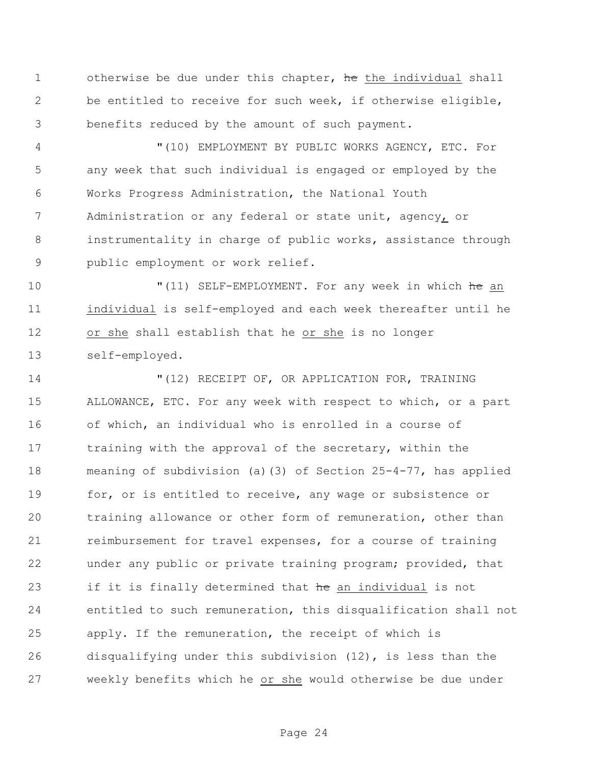1 otherwise be due under this chapter, he the individual shall be entitled to receive for such week, if otherwise eligible, benefits reduced by the amount of such payment.

 "(10) EMPLOYMENT BY PUBLIC WORKS AGENCY, ETC. For any week that such individual is engaged or employed by the Works Progress Administration, the National Youth Administration or any federal or state unit, agency, or instrumentality in charge of public works, assistance through public employment or work relief.

10 "(11) SELF-EMPLOYMENT. For any week in which he an individual is self-employed and each week thereafter until he or she shall establish that he or she is no longer self-employed.

 "(12) RECEIPT OF, OR APPLICATION FOR, TRAINING ALLOWANCE, ETC. For any week with respect to which, or a part of which, an individual who is enrolled in a course of 17 training with the approval of the secretary, within the meaning of subdivision (a)(3) of Section 25-4-77, has applied 19 for, or is entitled to receive, any wage or subsistence or training allowance or other form of remuneration, other than 21 reimbursement for travel expenses, for a course of training under any public or private training program; provided, that 23 if it is finally determined that he an individual is not entitled to such remuneration, this disqualification shall not apply. If the remuneration, the receipt of which is disqualifying under this subdivision (12), is less than the weekly benefits which he or she would otherwise be due under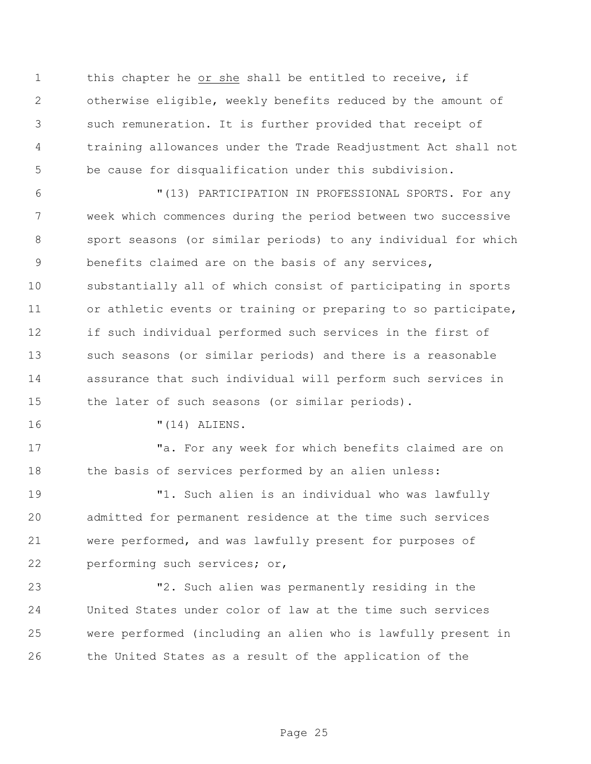this chapter he or she shall be entitled to receive, if otherwise eligible, weekly benefits reduced by the amount of such remuneration. It is further provided that receipt of training allowances under the Trade Readjustment Act shall not be cause for disqualification under this subdivision.

 "(13) PARTICIPATION IN PROFESSIONAL SPORTS. For any week which commences during the period between two successive sport seasons (or similar periods) to any individual for which benefits claimed are on the basis of any services, substantially all of which consist of participating in sports or athletic events or training or preparing to so participate, if such individual performed such services in the first of such seasons (or similar periods) and there is a reasonable assurance that such individual will perform such services in the later of such seasons (or similar periods).

"(14) ALIENS.

17 The state of the Ta. For any week for which benefits claimed are on 18 the basis of services performed by an alien unless:

 "1. Such alien is an individual who was lawfully admitted for permanent residence at the time such services were performed, and was lawfully present for purposes of performing such services; or,

 "2. Such alien was permanently residing in the United States under color of law at the time such services were performed (including an alien who is lawfully present in the United States as a result of the application of the